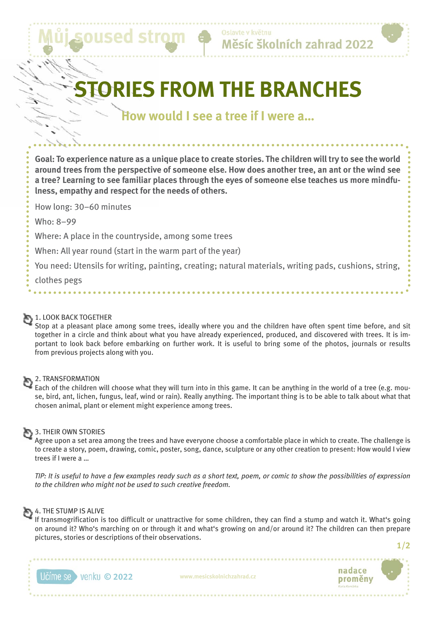# **ORIES FROM THE BRANCHES**

## **How would I see a tree if I were a…**

**Goal: To experience nature as a unique place to create stories. The children will try to see the world around trees from the perspective of someone else. How does another tree, an ant or the wind see a tree? Learning to see familiar places through the eyes of someone else teaches us more mindfulness, empathy and respect for the needs of others.**

How long: 30–60 minutes

Who: 8–99

Where: A place in the countryside, among some trees

 $ICPI$ 

When: All year round (start in the warm part of the year)

You need: Utensils for writing, painting, creating; natural materials, writing pads, cushions, string,

clothes pegs

## 1. LOOK BACK TOGETHER

Stop at a pleasant place among some trees, ideally where you and the children have often spent time before, and sit together in a circle and think about what you have already experienced, produced, and discovered with trees. It is important to look back before embarking on further work. It is useful to bring some of the photos, journals or results from previous projects along with you.

#### 2. TRANSFORMATION

Each of the children will choose what they will turn into in this game. It can be anything in the world of a tree (e.g. mouse, bird, ant, lichen, fungus, leaf, wind or rain). Really anything. The important thing is to be able to talk about what that chosen animal, plant or element might experience among trees.

## 3. THEIR OWN STORIES

Agree upon a set area among the trees and have everyone choose a comfortable place in which to create. The challenge is to create a story, poem, drawing, comic, poster, song, dance, sculpture or any other creation to present: How would I view trees if I were a …

*TIP: It is useful to have a few examples ready such as a short text, poem, or comic to show the possibilities of expression to the children who might not be used to such creative freedom.*

#### 4. THE STUMP IS ALIVE

If transmogrification is too difficult or unattractive for some children, they can find a stump and watch it. What's going on around it? Who's marching on or through it and what's growing on and/or around it? The children can then prepare pictures, stories or descriptions of their observations.